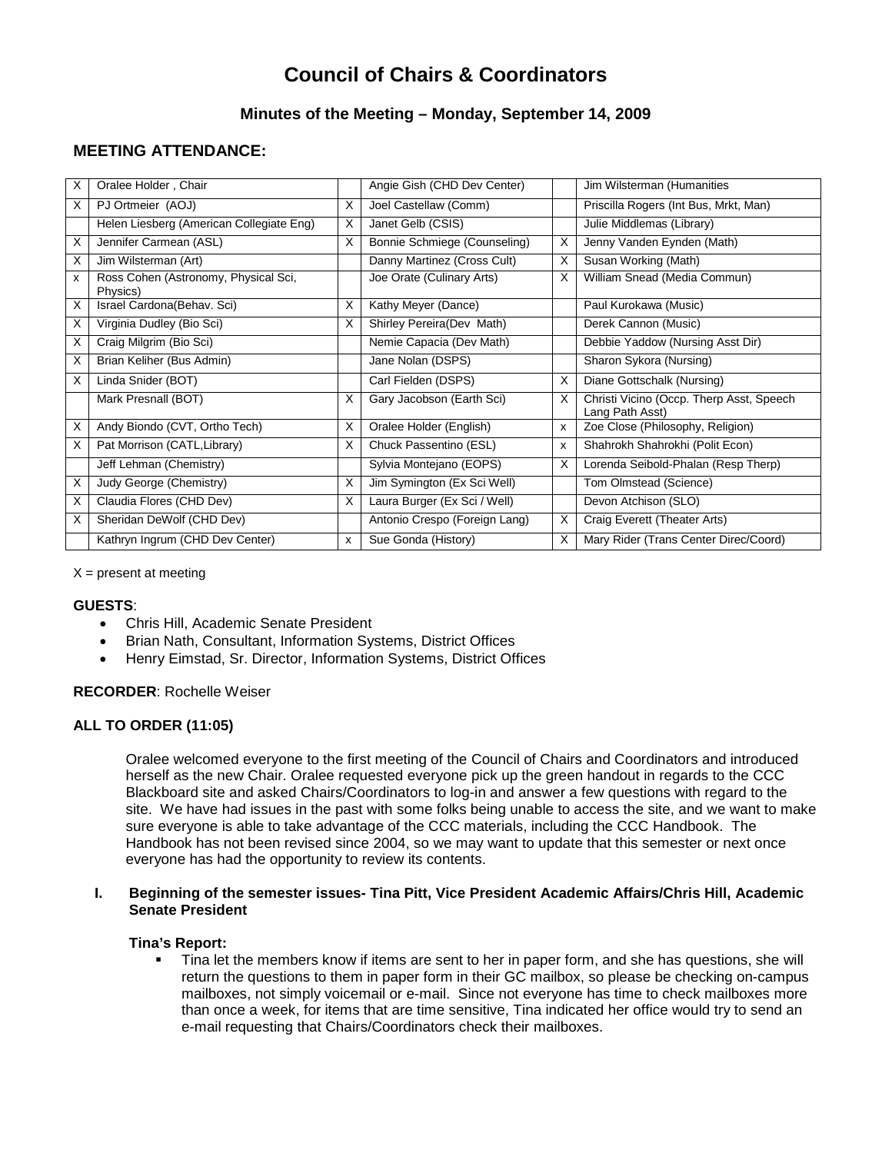# **Council of Chairs & Coordinators**

# **Minutes of the Meeting – Monday, September 14, 2009**

# **MEETING ATTENDANCE:**

| X        | Oralee Holder, Chair                             |              | Angie Gish (CHD Dev Center)   |   | Jim Wilsterman (Humanities                                  |
|----------|--------------------------------------------------|--------------|-------------------------------|---|-------------------------------------------------------------|
| X        | PJ Ortmeier (AOJ)                                | X            | Joel Castellaw (Comm)         |   | Priscilla Rogers (Int Bus, Mrkt, Man)                       |
|          | Helen Liesberg (American Collegiate Eng)         | X            | Janet Gelb (CSIS)             |   | Julie Middlemas (Library)                                   |
| X        | Jennifer Carmean (ASL)                           | X            | Bonnie Schmiege (Counseling)  | X | Jenny Vanden Eynden (Math)                                  |
| X        | Jim Wilsterman (Art)                             |              | Danny Martinez (Cross Cult)   | X | Susan Working (Math)                                        |
| x        | Ross Cohen (Astronomy, Physical Sci,<br>Physics) |              | Joe Orate (Culinary Arts)     | X | William Snead (Media Commun)                                |
| X        | Israel Cardona(Behav. Sci)                       | X            | Kathy Meyer (Dance)           |   | Paul Kurokawa (Music)                                       |
| X        | Virginia Dudley (Bio Sci)                        | X            | Shirley Pereira(Dev Math)     |   | Derek Cannon (Music)                                        |
| X        | Craig Milgrim (Bio Sci)                          |              | Nemie Capacia (Dev Math)      |   | Debbie Yaddow (Nursing Asst Dir)                            |
| X        | Brian Keliher (Bus Admin)                        |              | Jane Nolan (DSPS)             |   | Sharon Sykora (Nursing)                                     |
| $\times$ | Linda Snider (BOT)                               |              | Carl Fielden (DSPS)           | X | Diane Gottschalk (Nursing)                                  |
|          | Mark Presnall (BOT)                              | X            | Gary Jacobson (Earth Sci)     | X | Christi Vicino (Occp. Therp Asst, Speech<br>Lang Path Asst) |
| $\times$ | Andy Biondo (CVT, Ortho Tech)                    | X            | Oralee Holder (English)       | x | Zoe Close (Philosophy, Religion)                            |
| X        | Pat Morrison (CATL, Library)                     | X            | Chuck Passentino (ESL)        | x | Shahrokh Shahrokhi (Polit Econ)                             |
|          | Jeff Lehman (Chemistry)                          |              | Sylvia Montejano (EOPS)       | X | Lorenda Seibold-Phalan (Resp Therp)                         |
| X        | Judy George (Chemistry)                          | X            | Jim Symington (Ex Sci Well)   |   | Tom Olmstead (Science)                                      |
| X        | Claudia Flores (CHD Dev)                         | X            | Laura Burger (Ex Sci / Well)  |   | Devon Atchison (SLO)                                        |
| X        | Sheridan DeWolf (CHD Dev)                        |              | Antonio Crespo (Foreign Lang) | X | Craig Everett (Theater Arts)                                |
|          | Kathryn Ingrum (CHD Dev Center)                  | $\mathsf{x}$ | Sue Gonda (History)           | X | Mary Rider (Trans Center Direc/Coord)                       |

 $X =$  present at meeting

#### **GUESTS**:

- Chris Hill, Academic Senate President
- Brian Nath, Consultant, Information Systems, District Offices
- Henry Eimstad, Sr. Director, Information Systems, District Offices

#### **RECORDER**: Rochelle Weiser

# **ALL TO ORDER (11:05)**

Oralee welcomed everyone to the first meeting of the Council of Chairs and Coordinators and introduced herself as the new Chair. Oralee requested everyone pick up the green handout in regards to the CCC Blackboard site and asked Chairs/Coordinators to log-in and answer a few questions with regard to the site. We have had issues in the past with some folks being unable to access the site, and we want to make sure everyone is able to take advantage of the CCC materials, including the CCC Handbook. The Handbook has not been revised since 2004, so we may want to update that this semester or next once everyone has had the opportunity to review its contents.

#### **I. Beginning of the semester issues- Tina Pitt, Vice President Academic Affairs/Chris Hill, Academic Senate President**

#### **Tina's Report:**

 Tina let the members know if items are sent to her in paper form, and she has questions, she will return the questions to them in paper form in their GC mailbox, so please be checking on-campus mailboxes, not simply voicemail or e-mail. Since not everyone has time to check mailboxes more than once a week, for items that are time sensitive, Tina indicated her office would try to send an e-mail requesting that Chairs/Coordinators check their mailboxes.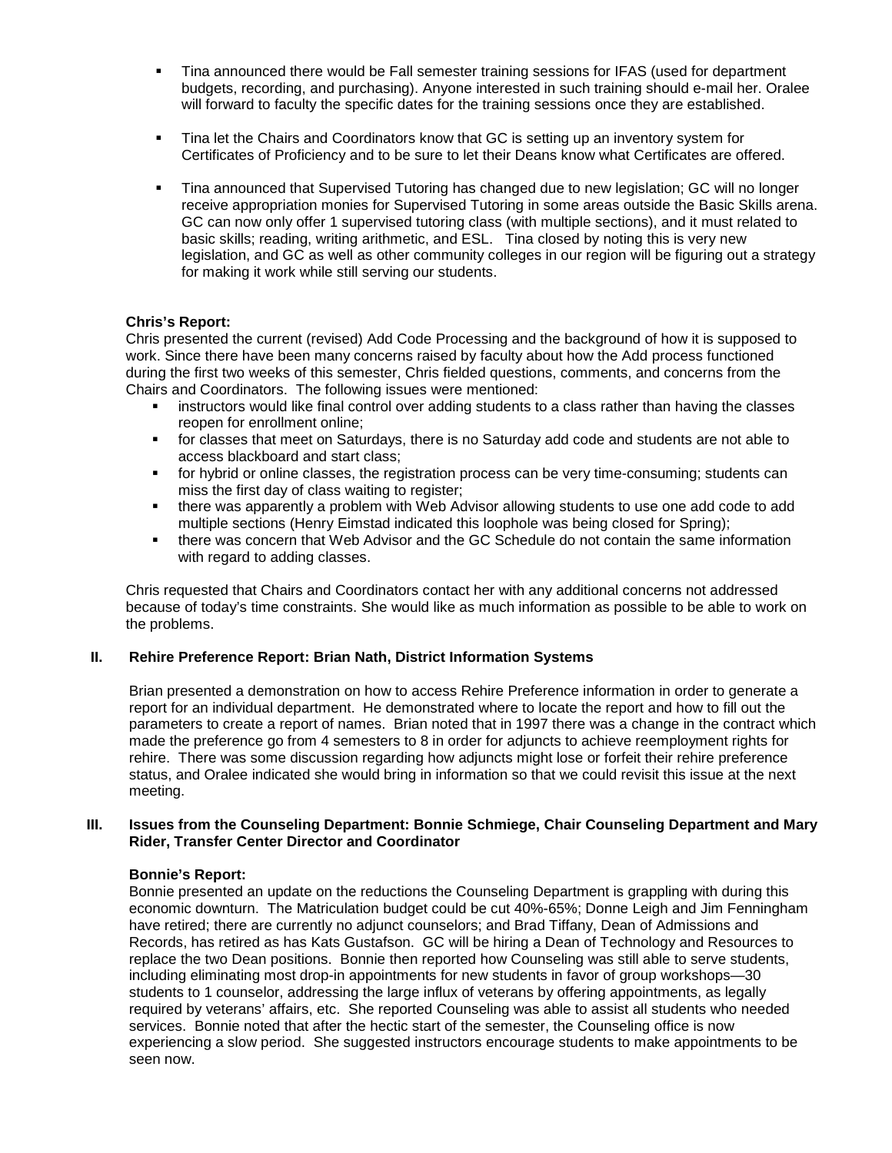- Tina announced there would be Fall semester training sessions for IFAS (used for department budgets, recording, and purchasing). Anyone interested in such training should e-mail her. Oralee will forward to faculty the specific dates for the training sessions once they are established.
- Tina let the Chairs and Coordinators know that GC is setting up an inventory system for Certificates of Proficiency and to be sure to let their Deans know what Certificates are offered.
- Tina announced that Supervised Tutoring has changed due to new legislation; GC will no longer receive appropriation monies for Supervised Tutoring in some areas outside the Basic Skills arena. GC can now only offer 1 supervised tutoring class (with multiple sections), and it must related to basic skills; reading, writing arithmetic, and ESL. Tina closed by noting this is very new legislation, and GC as well as other community colleges in our region will be figuring out a strategy for making it work while still serving our students.

## **Chris's Report:**

Chris presented the current (revised) Add Code Processing and the background of how it is supposed to work. Since there have been many concerns raised by faculty about how the Add process functioned during the first two weeks of this semester, Chris fielded questions, comments, and concerns from the Chairs and Coordinators. The following issues were mentioned:

- **EXECT** instructors would like final control over adding students to a class rather than having the classes reopen for enrollment online;
- for classes that meet on Saturdays, there is no Saturday add code and students are not able to access blackboard and start class;
- for hybrid or online classes, the registration process can be very time-consuming; students can miss the first day of class waiting to register;
- there was apparently a problem with Web Advisor allowing students to use one add code to add multiple sections (Henry Eimstad indicated this loophole was being closed for Spring);
- there was concern that Web Advisor and the GC Schedule do not contain the same information with regard to adding classes.

Chris requested that Chairs and Coordinators contact her with any additional concerns not addressed because of today's time constraints. She would like as much information as possible to be able to work on the problems.

#### **II. Rehire Preference Report: Brian Nath, District Information Systems**

Brian presented a demonstration on how to access Rehire Preference information in order to generate a report for an individual department. He demonstrated where to locate the report and how to fill out the parameters to create a report of names. Brian noted that in 1997 there was a change in the contract which made the preference go from 4 semesters to 8 in order for adjuncts to achieve reemployment rights for rehire. There was some discussion regarding how adjuncts might lose or forfeit their rehire preference status, and Oralee indicated she would bring in information so that we could revisit this issue at the next meeting.

#### **III. Issues from the Counseling Department: Bonnie Schmiege, Chair Counseling Department and Mary Rider, Transfer Center Director and Coordinator**

#### **Bonnie's Report:**

Bonnie presented an update on the reductions the Counseling Department is grappling with during this economic downturn. The Matriculation budget could be cut 40%-65%; Donne Leigh and Jim Fenningham have retired; there are currently no adjunct counselors; and Brad Tiffany, Dean of Admissions and Records, has retired as has Kats Gustafson. GC will be hiring a Dean of Technology and Resources to replace the two Dean positions. Bonnie then reported how Counseling was still able to serve students, including eliminating most drop-in appointments for new students in favor of group workshops—30 students to 1 counselor, addressing the large influx of veterans by offering appointments, as legally required by veterans' affairs, etc. She reported Counseling was able to assist all students who needed services. Bonnie noted that after the hectic start of the semester, the Counseling office is now experiencing a slow period. She suggested instructors encourage students to make appointments to be seen now.